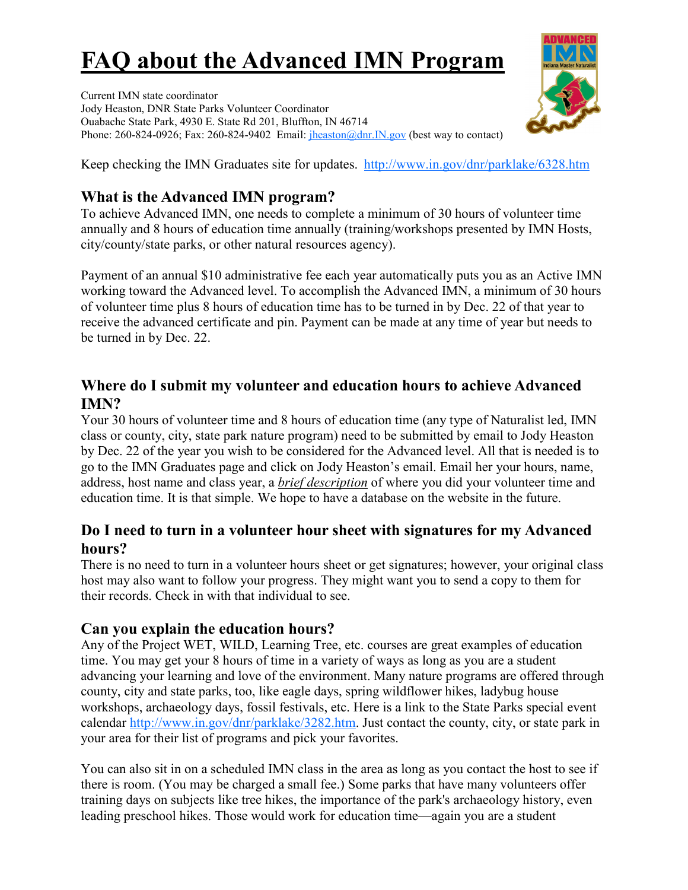# **FAQ about the Advanced IMN Program**

Current IMN state coordinator Jody Heaston, DNR State Parks Volunteer Coordinator Ouabache State Park, 4930 E. State Rd 201, Bluffton, IN 46714 Phone: 260-824-0926; Fax: 260-824-9402 Email:  $\frac{\text{theaston}(\omega \text{dnr.IN.gov})}{\text{theaston}(\omega \text{dnr.IN.gov})}$  (best way to contact)



Keep checking the IMN Graduates site for updates. <http://www.in.gov/dnr/parklake/6328.htm>

## **What is the Advanced IMN program?**

To achieve Advanced IMN, one needs to complete a minimum of 30 hours of volunteer time annually and 8 hours of education time annually (training/workshops presented by IMN Hosts, city/county/state parks, or other natural resources agency).

Payment of an annual \$10 administrative fee each year automatically puts you as an Active IMN working toward the Advanced level. To accomplish the Advanced IMN, a minimum of 30 hours of volunteer time plus 8 hours of education time has to be turned in by Dec. 22 of that year to receive the advanced certificate and pin. Payment can be made at any time of year but needs to be turned in by Dec. 22.

## **Where do I submit my volunteer and education hours to achieve Advanced IMN?**

Your 30 hours of volunteer time and 8 hours of education time (any type of Naturalist led, IMN class or county, city, state park nature program) need to be submitted by email to Jody Heaston by Dec. 22 of the year you wish to be considered for the Advanced level. All that is needed is to go to the IMN Graduates page and click on Jody Heaston's email. Email her your hours, name, address, host name and class year, a *brief description* of where you did your volunteer time and education time. It is that simple. We hope to have a database on the website in the future.

## **Do I need to turn in a volunteer hour sheet with signatures for my Advanced hours?**

There is no need to turn in a volunteer hours sheet or get signatures; however, your original class host may also want to follow your progress. They might want you to send a copy to them for their records. Check in with that individual to see.

## **Can you explain the education hours?**

Any of the Project WET, WILD, Learning Tree, etc. courses are great examples of education time. You may get your 8 hours of time in a variety of ways as long as you are a student advancing your learning and love of the environment. Many nature programs are offered through county, city and state parks, too, like eagle days, spring wildflower hikes, ladybug house workshops, archaeology days, fossil festivals, etc. Here is a link to the State Parks special event calendar [http://www.in.gov/dnr/parklake/3282.htm.](https://exchweb.in.gov/OWA/redir.aspx?C=f6c52eb677e140e0b9b2ed549fa0fb97&URL=http%3a%2f%2fwww.in.gov%2fdnr%2fparklake%2f3282.htm) Just contact the county, city, or state park in your area for their list of programs and pick your favorites.

You can also sit in on a scheduled IMN class in the area as long as you contact the host to see if there is room. (You may be charged a small fee.) Some parks that have many volunteers offer training days on subjects like tree hikes, the importance of the park's archaeology history, even leading preschool hikes. Those would work for education time—again you are a student